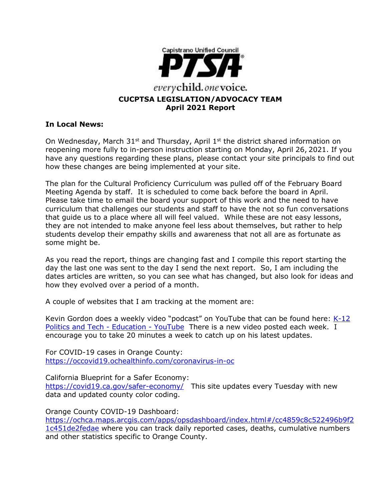

# **In Local News:**

On Wednesday, March  $31^{st}$  and Thursday, April  $1^{st}$  the district shared information on reopening more fully to in-person instruction starting on Monday, April 26, 2021. If you have any questions regarding these plans, please contact your site principals to find out how these changes are being implemented at your site.

The plan for the Cultural Proficiency Curriculum was pulled off of the February Board Meeting Agenda by staff. It is scheduled to come back before the board in April. Please take time to email the board your support of this work and the need to have curriculum that challenges our students and staff to have the not so fun conversations that guide us to a place where all will feel valued. While these are not easy lessons, they are not intended to make anyone feel less about themselves, but rather to help students develop their empathy skills and awareness that not all are as fortunate as some might be.

As you read the report, things are changing fast and I compile this report starting the day the last one was sent to the day I send the next report. So, I am including the dates articles are written, so you can see what has changed, but also look for ideas and how they evolved over a period of a month.

A couple of websites that I am tracking at the moment are:

Kevin Gordon does a weekly video "podcast" on YouTube that can be found here: [K-12](https://www.youtube.com/channel/UCp5ziYY2a-svTX2bw3sBZlQ)  [Politics and Tech -](https://www.youtube.com/channel/UCp5ziYY2a-svTX2bw3sBZlQ) Education - YouTube There is a new video posted each week. I encourage you to take 20 minutes a week to catch up on his latest updates.

For COVID-19 cases in Orange County: <https://occovid19.ochealthinfo.com/coronavirus-in-oc>

California Blueprint for a Safer Economy:

<https://covid19.ca.gov/safer-economy/>This site updates every Tuesday with new data and updated county color coding.

Orange County COVID-19 Dashboard:

[https://ochca.maps.arcgis.com/apps/opsdashboard/index.html#/cc4859c8c522496b9f2](https://ochca.maps.arcgis.com/apps/opsdashboard/index.html#/cc4859c8c522496b9f21c451de2fedae) [1c451de2fedae](https://ochca.maps.arcgis.com/apps/opsdashboard/index.html#/cc4859c8c522496b9f21c451de2fedae) where you can track daily reported cases, deaths, cumulative numbers and other statistics specific to Orange County.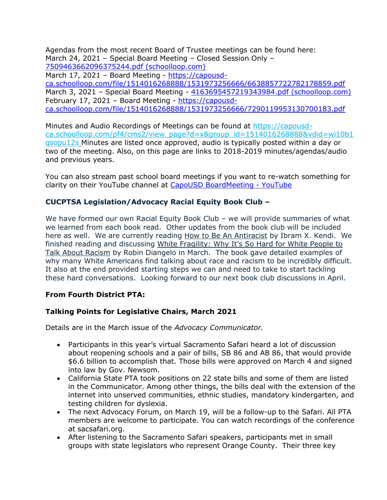Agendas from the most recent Board of Trustee meetings can be found here: March 24, 2021 – Special Board Meeting – Closed Session Only – [7509463662096375244.pdf \(schoolloop.com\)](https://capousd-ca.schoolloop.com/file/1514016268888/1531973256666/7509463662096375244.pdf) March 17, 2021 – Board Meeting - [https://capousd](https://capousd-ca.schoolloop.com/file/1514016268888/1531973256666/6638857722782178859.pdf)[ca.schoolloop.com/file/1514016268888/1531973256666/6638857722782178859.pdf](https://capousd-ca.schoolloop.com/file/1514016268888/1531973256666/6638857722782178859.pdf) March 3, 2021 – Special Board Meeting - [4163695457219343984.pdf \(schoolloop.com\)](https://capousd-ca.schoolloop.com/file/1514016268888/1531973256666/4163695457219343984.pdf) February 17, 2021 – Board Meeting - [https://capousd](https://capousd-ca.schoolloop.com/file/1514016268888/1531973256666/7290119953130700183.pdf)[ca.schoolloop.com/file/1514016268888/1531973256666/7290119953130700183.pdf](https://capousd-ca.schoolloop.com/file/1514016268888/1531973256666/7290119953130700183.pdf)

Minutes and Audio Recordings of Meetings can be found at [https://capousd](https://capousd-ca.schoolloop.com/pf4/cms2/view_page?d=x&group_id=1514016268888&vdid=wi10b1qsopu12s)[ca.schoolloop.com/pf4/cms2/view\\_page?d=x&group\\_id=1514016268888&vdid=wi10b1](https://capousd-ca.schoolloop.com/pf4/cms2/view_page?d=x&group_id=1514016268888&vdid=wi10b1qsopu12s) [qsopu12s](https://capousd-ca.schoolloop.com/pf4/cms2/view_page?d=x&group_id=1514016268888&vdid=wi10b1qsopu12s) Minutes are listed once approved, audio is typically posted within a day or two of the meeting. Also, on this page are links to 2018-2019 minutes/agendas/audio and previous years.

You can also stream past school board meetings if you want to re-watch something for clarity on their YouTube channel at [CapoUSD BoardMeeting -](https://www.youtube.com/channel/UCVxpUeRR8sk9-7pRYjUzzmQ) YouTube

## **CUCPTSA Legislation/Advocacy Racial Equity Book Club –**

We have formed our own Racial Equity Book Club – we will provide summaries of what we learned from each book read. Other updates from the book club will be included here as well. We are currently reading How to Be An Antiracist by Ibram X. Kendi. We finished reading and discussing White Fragility: Why It's So Hard for White People to Talk About Racism by Robin Diangelo in March. The book gave detailed examples of why many White Americans find talking about race and racism to be incredibly difficult. It also at the end provided starting steps we can and need to take to start tackling these hard conversations. Looking forward to our next book club discussions in April.

## **From Fourth District PTA:**

## **Talking Points for Legislative Chairs, March 2021**

Details are in the March issue of the *Advocacy Communicator.*

- Participants in this year's virtual Sacramento Safari heard a lot of discussion about reopening schools and a pair of bills, SB 86 and AB 86, that would provide \$6.6 billion to accomplish that. Those bills were approved on March 4 and signed into law by Gov. Newsom.
- California State PTA took positions on 22 state bills and some of them are listed in the Communicator. Among other things, the bills deal with the extension of the internet into unserved communities, ethnic studies, mandatory kindergarten, and testing children for dyslexia.
- The next Advocacy Forum, on March 19, will be a follow-up to the Safari. All PTA members are welcome to participate. You can watch recordings of the conference at sacsafari.org.
- After listening to the Sacramento Safari speakers, participants met in small groups with state legislators who represent Orange County. Their three key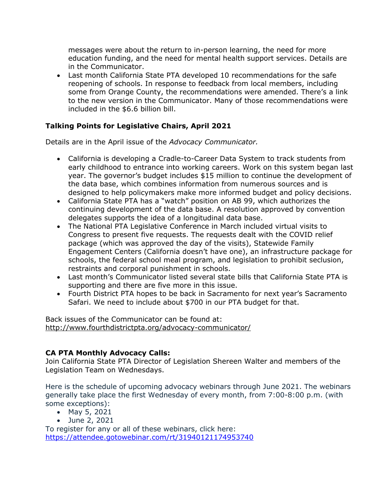messages were about the return to in-person learning, the need for more education funding, and the need for mental health support services. Details are in the Communicator.

• Last month California State PTA developed 10 recommendations for the safe reopening of schools. In response to feedback from local members, including some from Orange County, the recommendations were amended. There's a link to the new version in the Communicator. Many of those recommendations were included in the \$6.6 billion bill.

## **Talking Points for Legislative Chairs, April 2021**

Details are in the April issue of the *Advocacy Communicator.*

- California is developing a Cradle-to-Career Data System to track students from early childhood to entrance into working careers. Work on this system began last year. The governor's budget includes \$15 million to continue the development of the data base, which combines information from numerous sources and is designed to help policymakers make more informed budget and policy decisions.
- California State PTA has a "watch" position on AB 99, which authorizes the continuing development of the data base. A resolution approved by convention delegates supports the idea of a longitudinal data base.
- The National PTA Legislative Conference in March included virtual visits to Congress to present five requests. The requests dealt with the COVID relief package (which was approved the day of the visits), Statewide Family Engagement Centers (California doesn't have one), an infrastructure package for schools, the federal school meal program, and legislation to prohibit seclusion, restraints and corporal punishment in schools.
- Last month's Communicator listed several state bills that California State PTA is supporting and there are five more in this issue.
- Fourth District PTA hopes to be back in Sacramento for next year's Sacramento Safari. We need to include about \$700 in our PTA budget for that.

Back issues of the Communicator can be found at: <http://www.fourthdistrictpta.org/advocacy-communicator/>

## **CA PTA Monthly Advocacy Calls:**

Join California State PTA Director of Legislation Shereen Walter and members of the Legislation Team on Wednesdays.

Here is the schedule of upcoming advocacy webinars through June 2021. The webinars generally take place the first Wednesday of every month, from 7:00-8:00 p.m. (with some exceptions):

- May 5, 2021
- June 2, 2021

To register for any or all of these webinars, click here: [https://attendee.gotowebinar.com/rt/31940121174953740](http://capta.bmetrack.com/c/l?u=AB6FF6E&e=10CEA9F&c=4592C&t=0&l=2971D61A&email=TepeYfBsuqqthho6K9B9EXzBjzlZ2TJR&seq=1)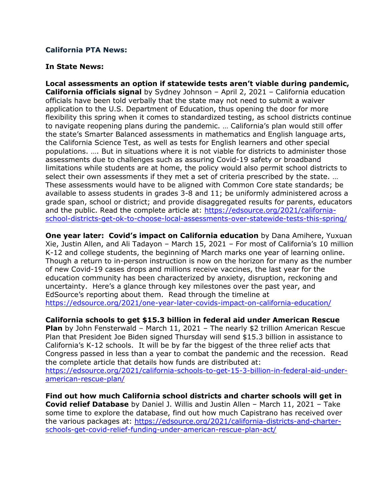### **California PTA News:**

#### **In State News:**

**Local assessments an option if statewide tests aren't viable during pandemic, California officials signal** by Sydney Johnson – April 2, 2021 – California education officials have been told verbally that the state may not need to submit a waiver application to the U.S. Department of Education, thus opening the door for more flexibility this spring when it comes to standardized testing, as school districts continue to navigate reopening plans during the pandemic. … California's plan would still offer the state's Smarter Balanced assessments in mathematics and English language arts, the California Science Test, as well as tests for English learners and other special populations. …. But in situations where it is not viable for districts to administer those assessments due to challenges such as assuring Covid-19 safety or broadband limitations while students are at home, the policy would also permit school districts to select their own assessments if they met a set of criteria prescribed by the state. … These assessments would have to be aligned with Common Core state standards; be available to assess students in grades 3-8 and 11; be uniformly administered across a grade span, school or district; and provide disaggregated results for parents, educators and the public. Read the complete article at: [https://edsource.org/2021/california](https://edsource.org/2021/california-school-districts-get-ok-to-choose-local-assessments-over-statewide-tests-this-spring/)[school-districts-get-ok-to-choose-local-assessments-over-statewide-tests-this-spring/](https://edsource.org/2021/california-school-districts-get-ok-to-choose-local-assessments-over-statewide-tests-this-spring/)

**One year later: Covid's impact on California education** by Dana Amihere, Yuxuan Xie, Justin Allen, and Ali Tadayon – March 15, 2021 – For most of California's 10 million K-12 and college students, the beginning of March marks one year of learning online. Though a return to in-person instruction is now on the horizon for many as the number of new Covid-19 cases drops and millions receive vaccines, the last year for the education community has been characterized by anxiety, disruption, reckoning and uncertainty. Here's a glance through key milestones over the past year, and EdSource's reporting about them. Read through the timeline at <https://edsource.org/2021/one-year-later-covids-impact-on-california-education/>

**California schools to get \$15.3 billion in federal aid under American Rescue** 

**Plan** by John Fensterwald – March 11, 2021 – The nearly \$2 trillion American Rescue Plan that President Joe Biden signed Thursday will send \$15.3 billion in assistance to California's K-12 schools. It will be by far the biggest of the three relief acts that Congress passed in less than a year to combat the pandemic and the recession. Read the complete article that details how funds are distributed at:

[https://edsource.org/2021/california-schools-to-get-15-3-billion-in-federal-aid-under](https://edsource.org/2021/california-schools-to-get-15-3-billion-in-federal-aid-under-american-rescue-plan/)[american-rescue-plan/](https://edsource.org/2021/california-schools-to-get-15-3-billion-in-federal-aid-under-american-rescue-plan/)

**Find out how much California school districts and charter schools will get in Covid relief Database** by Daniel J. Willis and Justin Allen – March 11, 2021 – Take some time to explore the database, find out how much Capistrano has received over the various packages at: [https://edsource.org/2021/california-districts-and-charter](https://edsource.org/2021/california-districts-and-charter-schools-get-covid-relief-funding-under-american-rescue-plan-act/)[schools-get-covid-relief-funding-under-american-rescue-plan-act/](https://edsource.org/2021/california-districts-and-charter-schools-get-covid-relief-funding-under-american-rescue-plan-act/)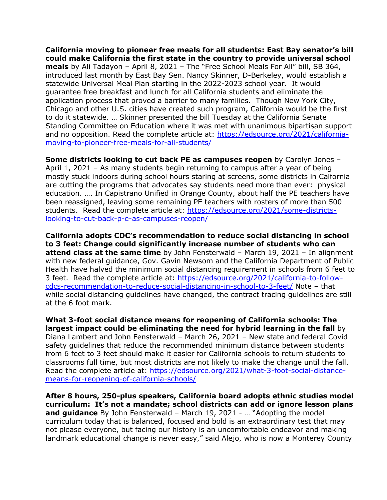**California moving to pioneer free meals for all students: East Bay senator's bill could make California the first state in the country to provide universal school meals** by Ali Tadayon – April 8, 2021 – The "Free School Meals For All" bill, SB 364, introduced last month by East Bay Sen. Nancy Skinner, D-Berkeley, would establish a statewide Universal Meal Plan starting in the 2022-2023 school year. It would guarantee free breakfast and lunch for all California students and eliminate the application process that proved a barrier to many families. Though New York City, Chicago and other U.S. cities have created such program, California would be the first to do it statewide. … Skinner presented the bill Tuesday at the California Senate Standing Committee on Education where it was met with unanimous bipartisan support and no opposition. Read the complete article at: [https://edsource.org/2021/california](https://edsource.org/2021/california-moving-to-pioneer-free-meals-for-all-students/)[moving-to-pioneer-free-meals-for-all-students/](https://edsource.org/2021/california-moving-to-pioneer-free-meals-for-all-students/)

**Some districts looking to cut back PE as campuses reopen** by Carolyn Jones – April 1, 2021 – As many students begin returning to campus after a year of being mostly stuck indoors during school hours staring at screens, some districts in Calfornia are cutting the programs that advocates say students need more than ever: physical education. …. In Capistrano Unified in Orange County, about half the PE teachers have been reassigned, leaving some remaining PE teachers with rosters of more than 500 students. Read the complete article at: [https://edsource.org/2021/some-districts](https://edsource.org/2021/some-districts-looking-to-cut-back-p-e-as-campuses-reopen/)[looking-to-cut-back-p-e-as-campuses-reopen/](https://edsource.org/2021/some-districts-looking-to-cut-back-p-e-as-campuses-reopen/)

**California adopts CDC's recommendation to reduce social distancing in school to 3 feet: Change could significantly increase number of students who can attend class at the same time** by John Fensterwald – March 19, 2021 – In alignment with new federal guidance, Gov. Gavin Newsom and the California Department of Public Health have halved the minimum social distancing requirement in schools from 6 feet to 3 feet. Read the complete article at: [https://edsource.org/2021/california-to-follow](https://edsource.org/2021/california-to-follow-cdcs-recommendation-to-reduce-social-distancing-in-school-to-3-feet/)[cdcs-recommendation-to-reduce-social-distancing-in-school-to-3-feet/](https://edsource.org/2021/california-to-follow-cdcs-recommendation-to-reduce-social-distancing-in-school-to-3-feet/) Note – that while social distancing guidelines have changed, the contract tracing guidelines are still at the 6 foot mark.

**What 3-foot social distance means for reopening of California schools: The largest impact could be eliminating the need for hybrid learning in the fall** by Diana Lambert and John Fensterwald – March 26, 2021 – New state and federal Covid safety guidelines that reduce the recommended minimum distance between students from 6 feet to 3 feet should make it easier for California schools to return students to classrooms full time, but most districts are not likely to make the change until the fall. Read the complete article at: [https://edsource.org/2021/what-3-foot-social-distance](https://edsource.org/2021/what-3-foot-social-distance-means-for-reopening-of-california-schools/)[means-for-reopening-of-california-schools/](https://edsource.org/2021/what-3-foot-social-distance-means-for-reopening-of-california-schools/)

**After 8 hours, 250-plus speakers, California board adopts ethnic studies model curriculum: It's not a mandate; school districts can add or ignore lesson plans and guidance** By John Fensterwald – March 19, 2021 - … "Adopting the model curriculum today that is balanced, focused and bold is an extraordinary test that may not please everyone, but facing our history is an uncomfortable endeavor and making landmark educational change is never easy," said Alejo, who is now a Monterey County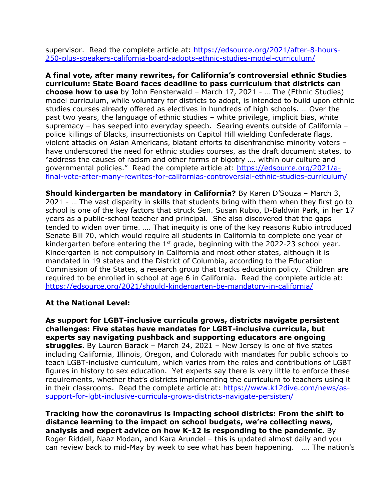supervisor. Read the complete article at: [https://edsource.org/2021/after-8-hours-](https://edsource.org/2021/after-8-hours-250-plus-speakers-california-board-adopts-ethnic-studies-model-curriculum/)[250-plus-speakers-california-board-adopts-ethnic-studies-model-curriculum/](https://edsource.org/2021/after-8-hours-250-plus-speakers-california-board-adopts-ethnic-studies-model-curriculum/)

**A final vote, after many rewrites, for California's controversial ethnic Studies curriculum: State Board faces deadline to pass curriculum that districts can choose how to use** by John Fensterwald – March 17, 2021 - … The (Ethnic Studies) model curriculum, while voluntary for districts to adopt, is intended to build upon ethnic studies courses already offered as electives in hundreds of high schools. … Over the past two years, the language of ethnic studies – white privilege, implicit bias, white supremacy – has seeped into everyday speech. Searing events outside of California – police killings of Blacks, insurrectionists on Capitol Hill wielding Confederate flags, violent attacks on Asian Americans, blatant efforts to disenfranchise minority voters – have underscored the need for ethnic studies courses, as the draft document states, to "address the causes of racism and other forms of bigotry …. within our culture and governmental policies." Read the complete article at: [https://edsource.org/2021/a](https://edsource.org/2021/a-final-vote-after-many-rewrites-for-californias-controversial-ethnic-studies-curriculum/)[final-vote-after-many-rewrites-for-californias-controversial-ethnic-studies-curriculum/](https://edsource.org/2021/a-final-vote-after-many-rewrites-for-californias-controversial-ethnic-studies-curriculum/)

**Should kindergarten be mandatory in California?** By Karen D'Souza – March 3, 2021 - … The vast disparity in skills that students bring with them when they first go to school is one of the key factors that struck Sen. Susan Rubio, D-Baldwin Park, in her 17 years as a public-school teacher and principal. She also discovered that the gaps tended to widen over time. …. That inequity is one of the key reasons Rubio introduced Senate Bill 70, which would require all students in California to complete one year of kindergarten before entering the  $1<sup>st</sup>$  grade, beginning with the 2022-23 school year. Kindergarten is not compulsory in California and most other states, although it is mandated in 19 states and the District of Columbia, according to the Education Commission of the States, a research group that tracks education policy. Children are required to be enrolled in school at age 6 in California. Read the complete article at: <https://edsource.org/2021/should-kindergarten-be-mandatory-in-california/>

## **At the National Level:**

**As support for LGBT-inclusive curricula grows, districts navigate persistent challenges: Five states have mandates for LGBT-inclusive curricula, but experts say navigating pushback and supporting educators are ongoing struggles.** By Lauren Barack – March 24, 2021 – New Jersey is one of five states including California, Illinois, Oregon, and Colorado with mandates for public schools to teach LGBT-inclusive curriculum, which varies from the roles and contributions of LGBT figures in history to sex education. Yet experts say there is very little to enforce these requirements, whether that's districts implementing the curriculum to teachers using it in their classrooms. Read the complete article at: [https://www.k12dive.com/news/as](https://www.k12dive.com/news/as-support-for-lgbt-inclusive-curricula-grows-districts-navigate-persisten/)[support-for-lgbt-inclusive-curricula-grows-districts-navigate-persisten/](https://www.k12dive.com/news/as-support-for-lgbt-inclusive-curricula-grows-districts-navigate-persisten/)

**Tracking how the coronavirus is impacting school districts: From the shift to distance learning to the impact on school budgets, we're collecting news, analysis and expert advice on how K-12 is responding to the pandemic.** By Roger Riddell, Naaz Modan, and Kara Arundel – this is updated almost daily and you can review back to mid-May by week to see what has been happening. …. The nation's